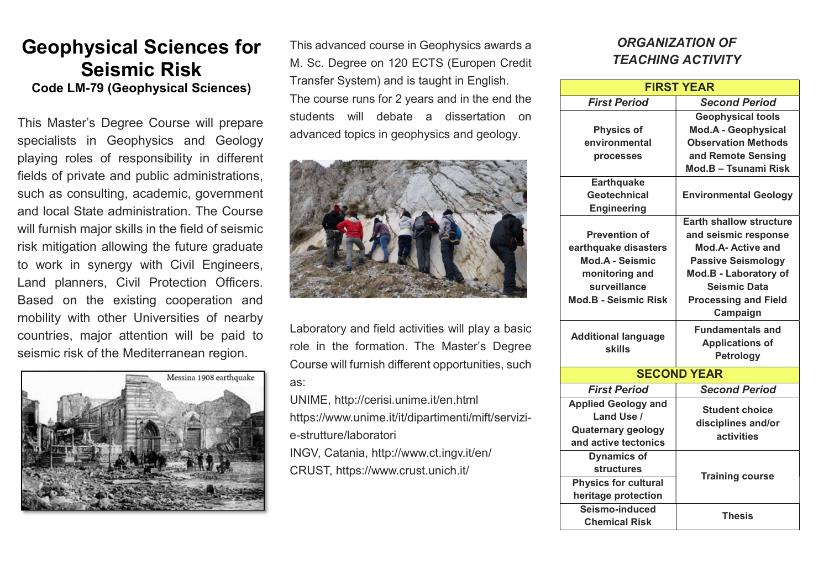## Geophysical Sciences for Seismic Risk Code LM-79 (Geophysical Sciences)

This Master's Degree Course will prepare specialists in Geophysics and Geology playing roles of responsibility in different fields of private and public administrations, such as consulting, academic, government and local State administration. The Course will furnish major skills in the field of seismic risk mitigation allowing the future graduate to work in synergy with Civil Engineers, Land planners, Civil Protection Officers. Based on the existing cooperation and mobility with other Universities of nearby countries, major attention will be paid to seismic risk of the Mediterranean region.



This advanced course in Geophysics awards a M. Sc. Degree on 120 ECTS (Europen Credit Transfer System) and is taught in English. The course runs for 2 years and in the end the students will debate a dissertation on advanced topics in geophysics and geology.



Laboratory and field activities will play a basic role in the formation. The Master's Degree Course will furnish different opportunities, such as:

UNIME, http://cerisi.unime.it/en.html https://www.unime.it/it/dipartimenti/mift/servizie-strutture/laboratori

INGV, Catania, http://www.ct.ingv.it/en/ CRUST, https://www.crust.unich.it/

## ORGANIZATION OF TEACHING ACTIVITY

| <b>FIRST YEAR</b>                           |                                                           |
|---------------------------------------------|-----------------------------------------------------------|
| <b>First Period</b>                         | <b>Second Period</b>                                      |
|                                             | <b>Geophysical tools</b>                                  |
| <b>Physics of</b>                           | <b>Mod.A - Geophysical</b>                                |
| environmental                               | <b>Observation Methods</b>                                |
| <b>processes</b>                            | and Remote Sensing                                        |
|                                             | Mod.B - Tsunami Risk                                      |
| <b>Earthquake</b>                           |                                                           |
| Geotechnical                                | <b>Environmental Geology</b>                              |
| <b>Engineering</b>                          |                                                           |
|                                             | <b>Earth shallow structure</b>                            |
| <b>Prevention of</b>                        | and seismic response                                      |
| earthquake disasters                        | <b>Mod.A- Active and</b>                                  |
| <b>Mod.A - Seismic</b>                      | <b>Passive Seismology</b>                                 |
| monitoring and                              | <b>Mod.B - Laboratory of</b>                              |
| surveillance                                | <b>Seismic Data</b>                                       |
| <b>Mod.B - Seismic Risk</b>                 | <b>Processing and Field</b>                               |
|                                             | Campaign                                                  |
| <b>Additional language</b><br><b>skills</b> | <b>Fundamentals and</b>                                   |
|                                             | <b>Applications of</b>                                    |
|                                             | Petrology                                                 |
| <b>SECOND YEAR</b>                          |                                                           |
| <b>First Period</b>                         | <b>Second Period</b>                                      |
| <b>Applied Geology and</b>                  | <b>Student choice</b><br>disciplines and/or<br>activities |
| Land Use /                                  |                                                           |
| <b>Quaternary geology</b>                   |                                                           |
| and active tectonics                        |                                                           |
| <b>Dynamics of</b>                          | <b>Training course</b>                                    |
| <b>structures</b>                           |                                                           |
| Physics for cultural                        |                                                           |
| heritage protection                         |                                                           |
| Seismo-induced                              | <b>Thesis</b>                                             |
| <b>Chemical Risk</b>                        |                                                           |